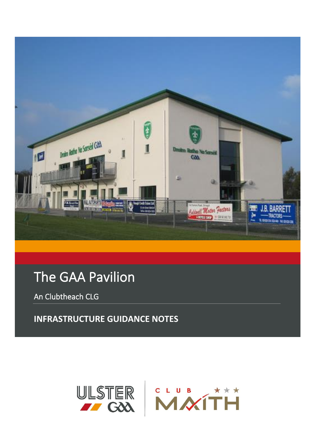

# The GAA Pavilion

An Clubtheach CLG

**INFRASTRUCTURE GUIDANCE NOTES** 

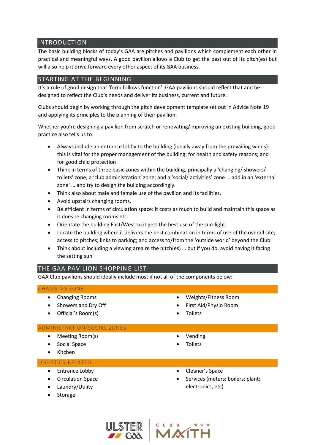# INTRODUCTION

The basic building blocks of today's GAA are pitches and pavilions which complement each other in practical and meaningful ways. A good pavilion allows a Club to get the best out of its pitch(es) but will also help it drive forward every other aspect of its GAA business.

# STARTING AT THE BEGINNING

It's a rule of good design that 'form follows function'. GAA pavilions should reflect that and be designed to reflect the Club's needs and deliver its business, current and future.

Clubs should begin by working through the pitch development template set out in Advice Note 19 and applying its principles to the planning of their pavilion.

Whether you're designing a pavilion from scratch or renovating/improving an existing building, good practice also tells us to:

- Always include an entrance lobby to the building (ideally away from the prevailing winds): this is vital for the proper management of the building; for health and safety reasons; and for good child protection
- Think in terms of three basic zones within the building, principally a 'changing/ showers/ toilets' zone; a 'club administration' zone; and a 'social/ activities' zone … add in an 'external zone' … and try to design the building accordingly.
- Think also about male and female use of the pavilion and its facilities.
- Avoid upstairs changing rooms.
- Be efficient in terms of circulation space: it costs as much to build and maintain this space as it does re changing rooms etc.
- Orientate the building East/West so it gets the best use of the sun-light.
- Locate the building where it delivers the best combination in terms of use of the overall site; access to pitches; links to parking; and access to/from the 'outside world' beyond the Club.
- Think about including a viewing area re the pitch(es) … but if you do, avoid having it facing the setting sun

# THE GAA PAVILION SHOPPING LIST

GAA Club pavilions should ideally include most if not all of the components below:

## CHANGING ZONE

- Changing Rooms
- Showers and Dry Off
- Official's Room(s)
- Weights/Fitness Room
- First Aid/Physio Room
	- **Toilets**

#### ADMINISTRATION/SOCIAL ZONES

- Meeting Room(s)
- Social Space
- Kitchen

#### LOGISTICS-RELATED

- Entrance Lobby
- Circulation Space
- Laundry/Utility
- Storage
- Vending
- **Toilets**
- Cleaner's Space
- Services (meters; boilers; plant; electronics, etc)

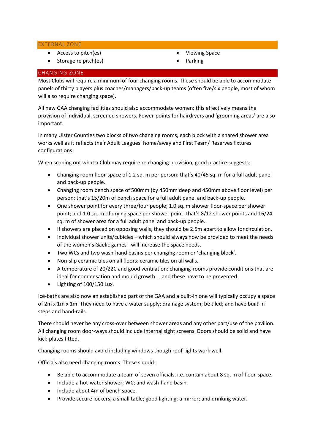EXTERNAL ZONE

- Access to pitch(es)
- Storage re pitch(es)
- Viewing Space
- Parking

### CHANGING ZONE

Most Clubs will require a minimum of four changing rooms. These should be able to accommodate panels of thirty players plus coaches/managers/back-up teams (often five/six people, most of whom will also require changing space).

All new GAA changing facilities should also accommodate women: this effectively means the provision of individual, screened showers. Power-points for hairdryers and 'grooming areas' are also important.

In many Ulster Counties two blocks of two changing rooms, each block with a shared shower area works well as it reflects their Adult Leagues' home/away and First Team/ Reserves fixtures configurations.

When scoping out what a Club may require re changing provision, good practice suggests:

- Changing room floor-space of 1.2 sq. m per person: that's 40/45 sq. m for a full adult panel and back-up people.
- Changing room bench space of 500mm (by 450mm deep and 450mm above floor level) per person: that's 15/20m of bench space for a full adult panel and back-up people.
- One shower point for every three/four people: 1.0 sq. m shower floor-space per shower point; and 1.0 sq. m of drying space per shower point: that's 8/12 shower points and 16/24 sq. m of shower area for a full adult panel and back-up people.
- If showers are placed on opposing walls, they should be 2.5m apart to allow for circulation.
- Individual shower units/cubicles which should always now be provided to meet the needs of the women's Gaelic games - will increase the space needs.
- Two WCs and two wash-hand basins per changing room or 'changing block'.
- Non-slip ceramic tiles on all floors: ceramic tiles on all walls.
- A temperature of 20/22C and good ventilation: changing-rooms provide conditions that are ideal for condensation and mould growth … and these have to be prevented.
- Lighting of 100/150 Lux.

Ice-baths are also now an established part of the GAA and a built-in one will typically occupy a space of 2m x 1m x 1m. They need to have a water supply; drainage system; be tiled; and have built-in steps and hand-rails.

There should never be any cross-over between shower areas and any other part/use of the pavilion. All changing room door-ways should include internal sight screens. Doors should be solid and have kick-plates fitted.

Changing rooms should avoid including windows though roof-lights work well.

Officials also need changing rooms. These should:

- Be able to accommodate a team of seven officials, i.e. contain about 8 sq. m of floor-space.
- Include a hot-water shower; WC; and wash-hand basin.
- Include about 4m of bench space.
- Provide secure lockers; a small table; good lighting; a mirror; and drinking water.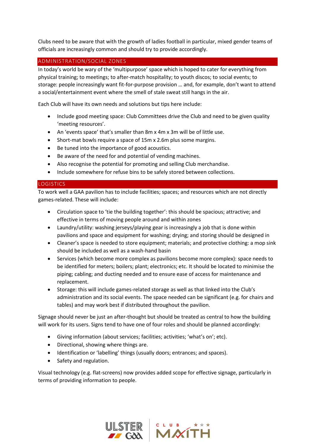Clubs need to be aware that with the growth of ladies football in particular, mixed gender teams of officials are increasingly common and should try to provide accordingly.

## ADMINISTRATION/SOCIAL ZONES

In today's world be wary of the 'multipurpose' space which is hoped to cater for everything from physical training; to meetings; to after-match hospitality; to youth discos; to social events; to storage: people increasingly want fit-for-purpose provision … and, for example, don't want to attend a social/entertainment event where the smell of stale sweat still hangs in the air.

Each Club will have its own needs and solutions but tips here include:

- Include good meeting space: Club Committees drive the Club and need to be given quality 'meeting resources'.
- An 'events space' that's smaller than 8m x 4m x 3m will be of little use.
- Short-mat bowls require a space of 15m x 2.6m plus some margins.
- Be tuned into the importance of good acoustics.
- Be aware of the need for and potential of vending machines.
- Also recognise the potential for promoting and selling Club merchandise.
- Include somewhere for refuse bins to be safely stored between collections.

## LOGISTICS

To work well a GAA pavilion has to include facilities; spaces; and resources which are not directly games-related. These will include:

- Circulation space to 'tie the building together': this should be spacious; attractive; and effective in terms of moving people around and within zones
- Laundry/utility: washing jerseys/playing gear is increasingly a job that is done within pavilions and space and equipment for washing; drying; and storing should be designed in
- Cleaner's space is needed to store equipment; materials; and protective clothing: a mop sink should be included as well as a wash-hand basin
- Services (which become more complex as pavilions become more complex): space needs to be identified for meters; boilers; plant; electronics; etc. It should be located to minimise the piping; cabling; and ducting needed and to ensure ease of access for maintenance and replacement.
- Storage: this will include games-related storage as well as that linked into the Club's administration and its social events. The space needed can be significant (e.g. for chairs and tables) and may work best if distributed throughout the pavilion.

Signage should never be just an after-thought but should be treated as central to how the building will work for its users. Signs tend to have one of four roles and should be planned accordingly:

- Giving information (about services; facilities; activities; 'what's on'; etc).
- Directional, showing where things are.
- Identification or 'labelling' things (usually doors; entrances; and spaces).
- Safety and regulation.

Visual technology (e.g. flat-screens) now provides added scope for effective signage, particularly in terms of providing information to people.